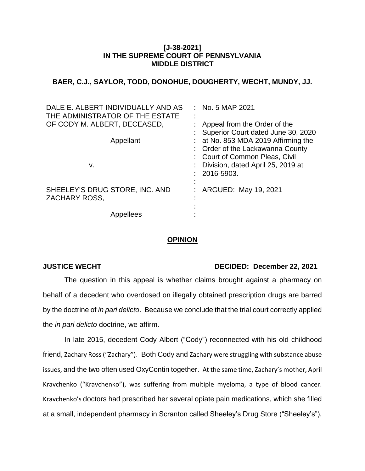## **[J-38-2021] IN THE SUPREME COURT OF PENNSYLVANIA MIDDLE DISTRICT**

# **BAER, C.J., SAYLOR, TODD, DONOHUE, DOUGHERTY, WECHT, MUNDY, JJ.**

| DALE E. ALBERT INDIVIDUALLY AND AS<br>THE ADMINISTRATOR OF THE ESTATE | $:$ No. 5 MAP 2021                                                                                          |
|-----------------------------------------------------------------------|-------------------------------------------------------------------------------------------------------------|
| OF CODY M. ALBERT, DECEASED,                                          | : Appeal from the Order of the<br>: Superior Court dated June 30, 2020                                      |
| Appellant                                                             | $:$ at No. 853 MDA 2019 Affirming the<br>: Order of the Lackawanna County<br>: Court of Common Pleas, Civil |
| v.                                                                    | : Division, dated April 25, 2019 at<br>2016-5903.                                                           |
| SHEELEY'S DRUG STORE, INC. AND<br><b>ZACHARY ROSS,</b>                | ARGUED: May 19, 2021                                                                                        |
| Appellees                                                             |                                                                                                             |

## **OPINION**

### **JUSTICE WECHT DECIDED: December 22, 2021**

The question in this appeal is whether claims brought against a pharmacy on behalf of a decedent who overdosed on illegally obtained prescription drugs are barred by the doctrine of *in pari delicto*. Because we conclude that the trial court correctly applied the *in pari delicto* doctrine, we affirm.

In late 2015, decedent Cody Albert ("Cody") reconnected with his old childhood friend, Zachary Ross("Zachary"). Both Cody and Zachary were struggling with substance abuse issues, and the two often used OxyContin together. At the same time, Zachary's mother, April Kravchenko ("Kravchenko"), was suffering from multiple myeloma, a type of blood cancer. Kravchenko's doctors had prescribed her several opiate pain medications, which she filled at a small, independent pharmacy in Scranton called Sheeley's Drug Store ("Sheeley's").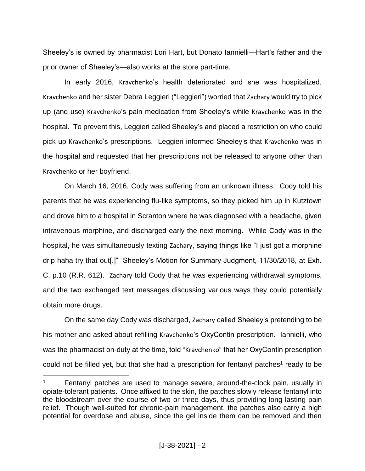Sheeley's is owned by pharmacist Lori Hart, but Donato Iannielli—Hart's father and the prior owner of Sheeley's—also works at the store part-time.

In early 2016, Kravchenko's health deteriorated and she was hospitalized. Kravchenko and her sister Debra Leggieri ("Leggieri") worried that Zachary would try to pick up (and use) Kravchenko's pain medication from Sheeley's while Kravchenko was in the hospital. To prevent this, Leggieri called Sheeley's and placed a restriction on who could pick up Kravchenko's prescriptions. Leggieri informed Sheeley's that Kravchenko was in the hospital and requested that her prescriptions not be released to anyone other than Kravchenko or her boyfriend.

On March 16, 2016, Cody was suffering from an unknown illness. Cody told his parents that he was experiencing flu-like symptoms, so they picked him up in Kutztown and drove him to a hospital in Scranton where he was diagnosed with a headache, given intravenous morphine, and discharged early the next morning. While Cody was in the hospital, he was simultaneously texting Zachary, saying things like "I just got a morphine drip haha try that out[.]" Sheeley's Motion for Summary Judgment, 11/30/2018, at Exh. C, p.10 (R.R. 612). Zachary told Cody that he was experiencing withdrawal symptoms, and the two exchanged text messages discussing various ways they could potentially obtain more drugs.

On the same day Cody was discharged, Zachary called Sheeley's pretending to be his mother and asked about refilling Kravchenko's OxyContin prescription. Iannielli, who was the pharmacist on-duty at the time, told "Kravchenko" that her OxyContin prescription could not be filled yet, but that she had a prescription for fentanyl patches<sup>1</sup> ready to be

<sup>&</sup>lt;sup>1</sup> Fentanyl patches are used to manage severe, around-the-clock pain, usually in opiate-tolerant patients. Once affixed to the skin, the patches slowly release fentanyl into the bloodstream over the course of two or three days, thus providing long-lasting pain relief. Though well-suited for chronic-pain management, the patches also carry a high potential for overdose and abuse, since the gel inside them can be removed and then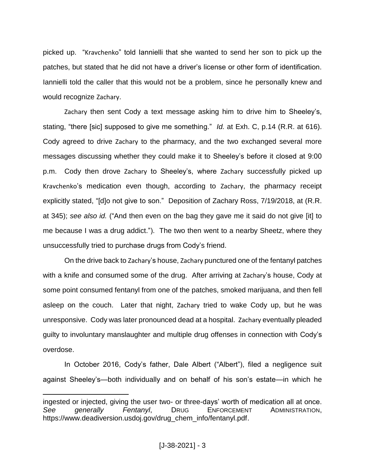picked up. "Kravchenko" told Iannielli that she wanted to send her son to pick up the patches, but stated that he did not have a driver's license or other form of identification. Iannielli told the caller that this would not be a problem, since he personally knew and would recognize Zachary.

Zachary then sent Cody a text message asking him to drive him to Sheeley's, stating, "there [sic] supposed to give me something." *Id.* at Exh. C, p.14 (R.R. at 616). Cody agreed to drive Zachary to the pharmacy, and the two exchanged several more messages discussing whether they could make it to Sheeley's before it closed at 9:00 p.m. Cody then drove Zachary to Sheeley's, where Zachary successfully picked up Kravchenko's medication even though, according to Zachary, the pharmacy receipt explicitly stated, "[d]o not give to son." Deposition of Zachary Ross, 7/19/2018, at (R.R. at 345); *see also id.* ("And then even on the bag they gave me it said do not give [it] to me because I was a drug addict."). The two then went to a nearby Sheetz, where they unsuccessfully tried to purchase drugs from Cody's friend.

On the drive back to Zachary's house, Zachary punctured one of the fentanyl patches with a knife and consumed some of the drug. After arriving at Zachary's house, Cody at some point consumed fentanyl from one of the patches, smoked marijuana, and then fell asleep on the couch. Later that night, Zachary tried to wake Cody up, but he was unresponsive. Cody was later pronounced dead at a hospital. Zachary eventually pleaded guilty to involuntary manslaughter and multiple drug offenses in connection with Cody's overdose.

In October 2016, Cody's father, Dale Albert ("Albert"), filed a negligence suit against Sheeley's—both individually and on behalf of his son's estate—in which he

ingested or injected, giving the user two- or three-days' worth of medication all at once. *See generally Fentanyl*, DRUG ENFORCEMENT ADMINISTRATION, https://www.deadiversion.usdoj.gov/drug\_chem\_info/fentanyl.pdf.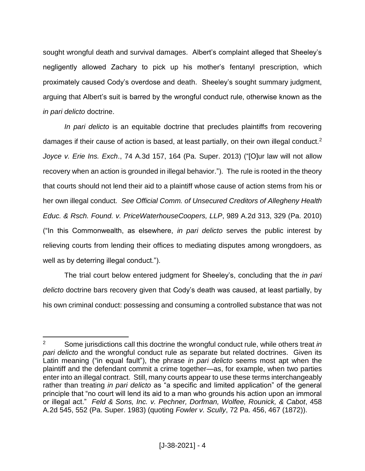sought wrongful death and survival damages. Albert's complaint alleged that Sheeley's negligently allowed Zachary to pick up his mother's fentanyl prescription, which proximately caused Cody's overdose and death. Sheeley's sought summary judgment, arguing that Albert's suit is barred by the wrongful conduct rule, otherwise known as the *in pari delicto* doctrine.

*In pari delicto* is an equitable doctrine that precludes plaintiffs from recovering damages if their cause of action is based, at least partially, on their own illegal conduct.<sup>2</sup> *Joyce v. Erie Ins. Exch*., 74 A.3d 157, 164 (Pa. Super. 2013) ("[O]ur law will not allow recovery when an action is grounded in illegal behavior."). The rule is rooted in the theory that courts should not lend their aid to a plaintiff whose cause of action stems from his or her own illegal conduct. *See Official Comm. of Unsecured Creditors of Allegheny Health Educ. & Rsch. Found. v. PriceWaterhouseCoopers, LLP*, 989 A.2d 313, 329 (Pa. 2010) ("In this Commonwealth, as elsewhere, *in pari delicto* serves the public interest by relieving courts from lending their offices to mediating disputes among wrongdoers, as well as by deterring illegal conduct.").

The trial court below entered judgment for Sheeley's, concluding that the *in pari delicto* doctrine bars recovery given that Cody's death was caused, at least partially, by his own criminal conduct: possessing and consuming a controlled substance that was not

<sup>2</sup> Some jurisdictions call this doctrine the wrongful conduct rule, while others treat *in pari delicto* and the wrongful conduct rule as separate but related doctrines. Given its Latin meaning ("in equal fault"), the phrase *in pari delicto* seems most apt when the plaintiff and the defendant commit a crime together—as, for example, when two parties enter into an illegal contract. Still, many courts appear to use these terms interchangeably rather than treating *in pari delicto* as "a specific and limited application" of the general principle that "no court will lend its aid to a man who grounds his action upon an immoral or illegal act." *Feld & Sons, Inc. v. Pechner, Dorfman, Wolfee, Rounick, & Cabot*, 458 A.2d 545, 552 (Pa. Super. 1983) (quoting *Fowler v. Scully*, 72 Pa. 456, 467 (1872)).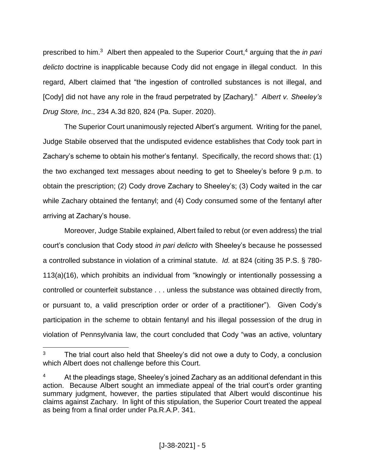prescribed to him.<sup>3</sup> Albert then appealed to the Superior Court,<sup>4</sup> arguing that the *in pari delicto* doctrine is inapplicable because Cody did not engage in illegal conduct. In this regard, Albert claimed that "the ingestion of controlled substances is not illegal, and [Cody] did not have any role in the fraud perpetrated by [Zachary]." *Albert v. Sheeley's Drug Store, Inc*., 234 A.3d 820, 824 (Pa. Super. 2020).

The Superior Court unanimously rejected Albert's argument. Writing for the panel, Judge Stabile observed that the undisputed evidence establishes that Cody took part in Zachary's scheme to obtain his mother's fentanyl. Specifically, the record shows that: (1) the two exchanged text messages about needing to get to Sheeley's before 9 p.m. to obtain the prescription; (2) Cody drove Zachary to Sheeley's; (3) Cody waited in the car while Zachary obtained the fentanyl; and (4) Cody consumed some of the fentanyl after arriving at Zachary's house.

Moreover, Judge Stabile explained, Albert failed to rebut (or even address) the trial court's conclusion that Cody stood *in pari delicto* with Sheeley's because he possessed a controlled substance in violation of a criminal statute. *Id.* at 824 (citing 35 P.S. § 780- 113(a)(16), which prohibits an individual from "knowingly or intentionally possessing a controlled or counterfeit substance . . . unless the substance was obtained directly from, or pursuant to, a valid prescription order or order of a practitioner"). Given Cody's participation in the scheme to obtain fentanyl and his illegal possession of the drug in violation of Pennsylvania law, the court concluded that Cody "was an active, voluntary

 $3$  The trial court also held that Sheeley's did not owe a duty to Cody, a conclusion which Albert does not challenge before this Court.

 $4$  At the pleadings stage, Sheeley's joined Zachary as an additional defendant in this action. Because Albert sought an immediate appeal of the trial court's order granting summary judgment, however, the parties stipulated that Albert would discontinue his claims against Zachary. In light of this stipulation, the Superior Court treated the appeal as being from a final order under Pa.R.A.P. 341.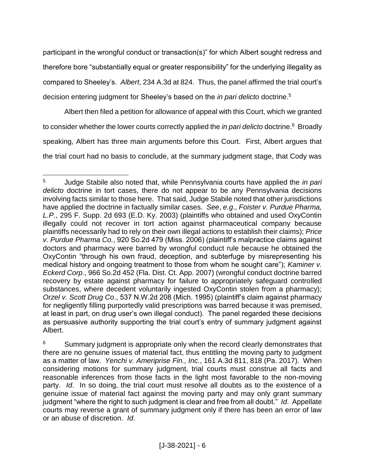participant in the wrongful conduct or transaction(s)" for which Albert sought redress and therefore bore "substantially equal or greater responsibility" for the underlying illegality as compared to Sheeley's. *Albert*, 234 A.3d at 824. Thus, the panel affirmed the trial court's decision entering judgment for Sheeley's based on the *in pari delicto* doctrine.<sup>5</sup>

Albert then filed a petition for allowance of appeal with this Court, which we granted to consider whether the lower courts correctly applied the *in pari delicto* doctrine. <sup>6</sup> Broadly speaking, Albert has three main arguments before this Court. First, Albert argues that the trial court had no basis to conclude, at the summary judgment stage, that Cody was

<sup>5</sup> Judge Stabile also noted that, while Pennsylvania courts have applied the *in pari delicto* doctrine in tort cases, there do not appear to be any Pennsylvania decisions involving facts similar to those here. That said, Judge Stabile noted that other jurisdictions have applied the doctrine in factually similar cases. *See*, *e.g*., *Foister v. Purdue Pharma, L.P*., 295 F. Supp. 2d 693 (E.D. Ky. 2003) (plaintiffs who obtained and used OxyContin illegally could not recover in tort action against pharmaceutical company because plaintiffs necessarily had to rely on their own illegal actions to establish their claims); *Price v. Purdue Pharma Co.*, 920 So.2d 479 (Miss. 2006) (plaintiff's malpractice claims against doctors and pharmacy were barred by wrongful conduct rule because he obtained the OxyContin "through his own fraud, deception, and subterfuge by misrepresenting his medical history and ongoing treatment to those from whom he sought care"); *Kaminer v. Eckerd Corp*., 966 So.2d 452 (Fla. Dist. Ct. App. 2007) (wrongful conduct doctrine barred recovery by estate against pharmacy for failure to appropriately safeguard controlled substances, where decedent voluntarily ingested OxyContin stolen from a pharmacy); *Orzel v. Scott Drug Co*., 537 N.W.2d 208 (Mich. 1995) (plaintiff's claim against pharmacy for negligently filling purportedly valid prescriptions was barred because it was premised, at least in part, on drug user's own illegal conduct). The panel regarded these decisions as persuasive authority supporting the trial court's entry of summary judgment against Albert.

 $6$  Summary judgment is appropriate only when the record clearly demonstrates that there are no genuine issues of material fact, thus entitling the moving party to judgment as a matter of law. *Yenchi v. Ameriprise Fin., Inc.*, 161 A.3d 811, 818 (Pa. 2017). When considering motions for summary judgment, trial courts must construe all facts and reasonable inferences from those facts in the light most favorable to the non-moving party. *Id*. In so doing, the trial court must resolve all doubts as to the existence of a genuine issue of material fact against the moving party and may only grant summary judgment "where the right to such judgment is clear and free from all doubt." *Id*. Appellate courts may reverse a grant of summary judgment only if there has been an error of law or an abuse of discretion. *Id*.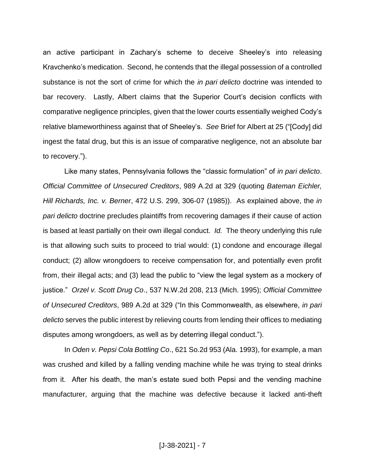an active participant in Zachary's scheme to deceive Sheeley's into releasing Kravchenko's medication. Second, he contends that the illegal possession of a controlled substance is not the sort of crime for which the *in pari delicto* doctrine was intended to bar recovery. Lastly, Albert claims that the Superior Court's decision conflicts with comparative negligence principles, given that the lower courts essentially weighed Cody's relative blameworthiness against that of Sheeley's. *See* Brief for Albert at 25 ("[Cody] did ingest the fatal drug, but this is an issue of comparative negligence, not an absolute bar to recovery.").

Like many states, Pennsylvania follows the "classic formulation" of *in pari delicto*. *Official Committee of Unsecured Creditors*, 989 A.2d at 329 (quoting *Bateman Eichler, Hill Richards, Inc. v. Berner*, 472 U.S. 299, 306-07 (1985)). As explained above, the *in pari delicto* doctrine precludes plaintiffs from recovering damages if their cause of action is based at least partially on their own illegal conduct. *Id.* The theory underlying this rule is that allowing such suits to proceed to trial would: (1) condone and encourage illegal conduct; (2) allow wrongdoers to receive compensation for, and potentially even profit from, their illegal acts; and (3) lead the public to "view the legal system as a mockery of justice." *Orzel v. Scott Drug Co*., 537 N.W.2d 208, 213 (Mich. 1995); *Official Committee of Unsecured Creditors*, 989 A.2d at 329 ("In this Commonwealth, as elsewhere, *in pari delicto* serves the public interest by relieving courts from lending their offices to mediating disputes among wrongdoers, as well as by deterring illegal conduct.").

In *Oden v. Pepsi Cola Bottling Co*., 621 So.2d 953 (Ala. 1993), for example, a man was crushed and killed by a falling vending machine while he was trying to steal drinks from it. After his death, the man's estate sued both Pepsi and the vending machine manufacturer, arguing that the machine was defective because it lacked anti-theft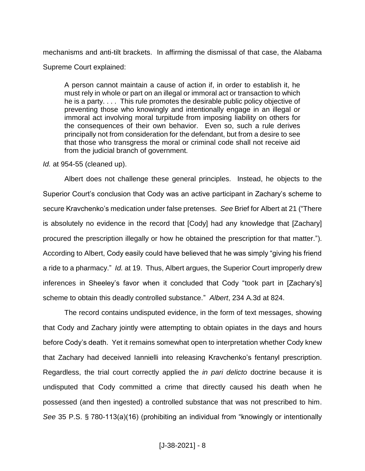mechanisms and anti-tilt brackets. In affirming the dismissal of that case, the Alabama Supreme Court explained:

A person cannot maintain a cause of action if, in order to establish it, he must rely in whole or part on an illegal or immoral act or transaction to which he is a party. . . . This rule promotes the desirable public policy objective of preventing those who knowingly and intentionally engage in an illegal or immoral act involving moral turpitude from imposing liability on others for the consequences of their own behavior. Even so, such a rule derives principally not from consideration for the defendant, but from a desire to see that those who transgress the moral or criminal code shall not receive aid from the judicial branch of government.

### *Id.* at 954-55 (cleaned up).

Albert does not challenge these general principles. Instead, he objects to the Superior Court's conclusion that Cody was an active participant in Zachary's scheme to secure Kravchenko's medication under false pretenses. *See* Brief for Albert at 21 ("There is absolutely no evidence in the record that [Cody] had any knowledge that [Zachary] procured the prescription illegally or how he obtained the prescription for that matter."). According to Albert, Cody easily could have believed that he was simply "giving his friend a ride to a pharmacy." *Id.* at 19. Thus, Albert argues, the Superior Court improperly drew inferences in Sheeley's favor when it concluded that Cody "took part in [Zachary's] scheme to obtain this deadly controlled substance." *Albert*, 234 A.3d at 824.

The record contains undisputed evidence, in the form of text messages, showing that Cody and Zachary jointly were attempting to obtain opiates in the days and hours before Cody's death. Yet it remains somewhat open to interpretation whether Cody knew that Zachary had deceived Iannielli into releasing Kravchenko's fentanyl prescription. Regardless, the trial court correctly applied the *in pari delicto* doctrine because it is undisputed that Cody committed a crime that directly caused his death when he possessed (and then ingested) a controlled substance that was not prescribed to him. *See* 35 P.S. § 780-113(a)(16) (prohibiting an individual from "knowingly or intentionally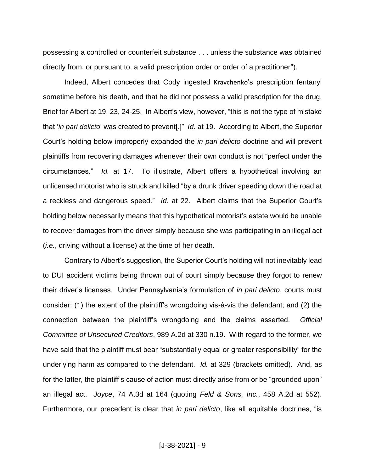possessing a controlled or counterfeit substance . . . unless the substance was obtained directly from, or pursuant to, a valid prescription order or order of a practitioner").

Indeed, Albert concedes that Cody ingested Kravchenko's prescription fentanyl sometime before his death, and that he did not possess a valid prescription for the drug. Brief for Albert at 19, 23, 24-25. In Albert's view, however, "this is not the type of mistake that '*in pari delicto*' was created to prevent[.]" *Id.* at 19. According to Albert, the Superior Court's holding below improperly expanded the *in pari delicto* doctrine and will prevent plaintiffs from recovering damages whenever their own conduct is not "perfect under the circumstances." *Id.* at 17. To illustrate, Albert offers a hypothetical involving an unlicensed motorist who is struck and killed "by a drunk driver speeding down the road at a reckless and dangerous speed." *Id.* at 22. Albert claims that the Superior Court's holding below necessarily means that this hypothetical motorist's estate would be unable to recover damages from the driver simply because she was participating in an illegal act (*i.e.*, driving without a license) at the time of her death.

Contrary to Albert's suggestion, the Superior Court's holding will not inevitably lead to DUI accident victims being thrown out of court simply because they forgot to renew their driver's licenses. Under Pennsylvania's formulation of *in pari delicto*, courts must consider: (1) the extent of the plaintiff's wrongdoing vis-à-vis the defendant; and (2) the connection between the plaintiff's wrongdoing and the claims asserted. *Official Committee of Unsecured Creditors*, 989 A.2d at 330 n.19. With regard to the former, we have said that the plaintiff must bear "substantially equal or greater responsibility" for the underlying harm as compared to the defendant. *Id.* at 329 (brackets omitted). And, as for the latter, the plaintiff's cause of action must directly arise from or be "grounded upon" an illegal act. *Joyce*, 74 A.3d at 164 (quoting *Feld & Sons, Inc.*, 458 A.2d at 552). Furthermore, our precedent is clear that *in pari delicto*, like all equitable doctrines, "is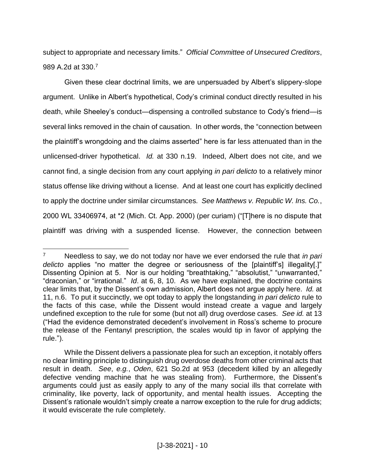subject to appropriate and necessary limits." *Official Committee of Unsecured Creditors*, 989 A.2d at 330.<sup>7</sup>

Given these clear doctrinal limits, we are unpersuaded by Albert's slippery-slope argument. Unlike in Albert's hypothetical, Cody's criminal conduct directly resulted in his death, while Sheeley's conduct—dispensing a controlled substance to Cody's friend—is several links removed in the chain of causation. In other words, the "connection between the plaintiff's wrongdoing and the claims asserted" here is far less attenuated than in the unlicensed-driver hypothetical. *Id.* at 330 n.19. Indeed, Albert does not cite, and we cannot find, a single decision from any court applying *in pari delicto* to a relatively minor status offense like driving without a license. And at least one court has explicitly declined to apply the doctrine under similar circumstances*. See Matthews v. Republic W. Ins. Co.*, 2000 WL 33406974, at \*2 (Mich. Ct. App. 2000) (per curiam) ("[T]here is no dispute that plaintiff was driving with a suspended license. However, the connection between

 $\overline{a}$ <sup>7</sup> Needless to say, we do not today nor have we ever endorsed the rule that *in pari delicto* applies "no matter the degree or seriousness of the [plaintiff's] illegality[.]" Dissenting Opinion at 5. Nor is our holding "breathtaking," "absolutist," "unwarranted," "draconian," or "irrational." *Id*. at 6, 8, 10. As we have explained, the doctrine contains clear limits that, by the Dissent's own admission, Albert does not argue apply here. *Id.* at 11, n.6. To put it succinctly, we opt today to apply the longstanding *in pari delicto* rule to the facts of this case, while the Dissent would instead create a vague and largely undefined exception to the rule for some (but not all) drug overdose cases. *See id.* at 13 ("Had the evidence demonstrated decedent's involvement in Ross's scheme to procure the release of the Fentanyl prescription, the scales would tip in favor of applying the rule.").

While the Dissent delivers a passionate plea for such an exception, it notably offers no clear limiting principle to distinguish drug overdose deaths from other criminal acts that result in death. *See*, *e.g.*, *Oden*, 621 So.2d at 953 (decedent killed by an allegedly defective vending machine that he was stealing from). Furthermore, the Dissent's arguments could just as easily apply to any of the many social ills that correlate with criminality, like poverty, lack of opportunity, and mental health issues. Accepting the Dissent's rationale wouldn't simply create a narrow exception to the rule for drug addicts; it would eviscerate the rule completely.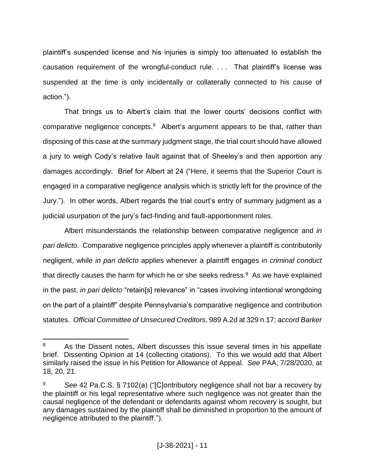plaintiff's suspended license and his injuries is simply too attenuated to establish the causation requirement of the wrongful-conduct rule. . . . That plaintiff's license was suspended at the time is only incidentally or collaterally connected to his cause of action.").

That brings us to Albert's claim that the lower courts' decisions conflict with comparative negligence concepts. $8$  Albert's argument appears to be that, rather than disposing of this case at the summary judgment stage, the trial court should have allowed a jury to weigh Cody's relative fault against that of Sheeley's and then apportion any damages accordingly. Brief for Albert at 24 ("Here, it seems that the Superior Court is engaged in a comparative negligence analysis which is strictly left for the province of the Jury."). In other words, Albert regards the trial court's entry of summary judgment as a judicial usurpation of the jury's fact-finding and fault-apportionment roles.

Albert misunderstands the relationship between comparative negligence and *in pari delicto*. Comparative negligence principles apply whenever a plaintiff is contributorily negligent, while *in pari delicto* applies whenever a plaintiff engages in *criminal conduct*  that directly causes the harm for which he or she seeks redress. $9$  As we have explained in the past, *in pari delicto* "retain[s] relevance" in "cases involving intentional wrongdoing on the part of a plaintiff" despite Pennsylvania's comparative negligence and contribution statutes. *Official Committee of Unsecured Creditors*, 989 A.2d at 329 n.17; *accord Barker* 

<sup>&</sup>lt;sup>8</sup> As the Dissent notes, Albert discusses this issue several times in his appellate brief. Dissenting Opinion at 14 (collecting citations). To this we would add that Albert similarly raised the issue in his Petition for Allowance of Appeal. *See* PAA, 7/28/2020, at 18, 20, 21.

<sup>9</sup> *See* 42 Pa.C.S. § 7102(a) ("[C]ontributory negligence shall not bar a recovery by the plaintiff or his legal representative where such negligence was not greater than the causal negligence of the defendant or defendants against whom recovery is sought, but any damages sustained by the plaintiff shall be diminished in proportion to the amount of negligence attributed to the plaintiff.").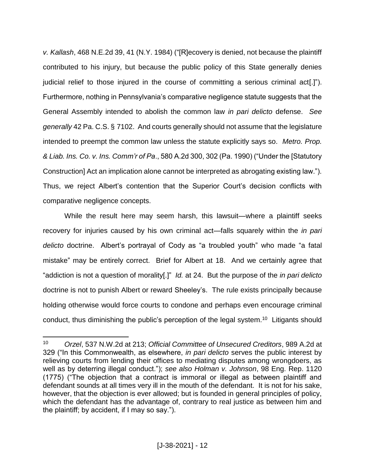*v. Kallash*, 468 N.E.2d 39, 41 (N.Y. 1984) ("[R]ecovery is denied, not because the plaintiff contributed to his injury, but because the public policy of this State generally denies judicial relief to those injured in the course of committing a serious criminal act[.]"). Furthermore, nothing in Pennsylvania's comparative negligence statute suggests that the General Assembly intended to abolish the common law *in pari delicto* defense. *See generally* 42 Pa. C.S. § 7102. And courts generally should not assume that the legislature intended to preempt the common law unless the statute explicitly says so. *Metro. Prop. & Liab. Ins. Co. v. Ins. Comm'r of Pa*., 580 A.2d 300, 302 (Pa. 1990) ("Under the [Statutory Construction] Act an implication alone cannot be interpreted as abrogating existing law."). Thus, we reject Albert's contention that the Superior Court's decision conflicts with comparative negligence concepts.

While the result here may seem harsh, this lawsuit—where a plaintiff seeks recovery for injuries caused by his own criminal act—falls squarely within the *in pari delicto* doctrine. Albert's portrayal of Cody as "a troubled youth" who made "a fatal mistake" may be entirely correct. Brief for Albert at 18. And we certainly agree that "addiction is not a question of morality[.]" *Id.* at 24. But the purpose of the *in pari delicto* doctrine is not to punish Albert or reward Sheeley's. The rule exists principally because holding otherwise would force courts to condone and perhaps even encourage criminal conduct, thus diminishing the public's perception of the legal system.<sup>10</sup> Litigants should

<sup>10</sup> *Orzel*, 537 N.W.2d at 213; *Official Committee of Unsecured Creditors*, 989 A.2d at 329 ("In this Commonwealth, as elsewhere, *in pari delicto* serves the public interest by relieving courts from lending their offices to mediating disputes among wrongdoers, as well as by deterring illegal conduct."); *see also Holman v. Johnson*, 98 Eng. Rep. 1120 (1775) ("The objection that a contract is immoral or illegal as between plaintiff and defendant sounds at all times very ill in the mouth of the defendant. It is not for his sake, however, that the objection is ever allowed; but is founded in general principles of policy, which the defendant has the advantage of, contrary to real justice as between him and the plaintiff; by accident, if I may so say.").